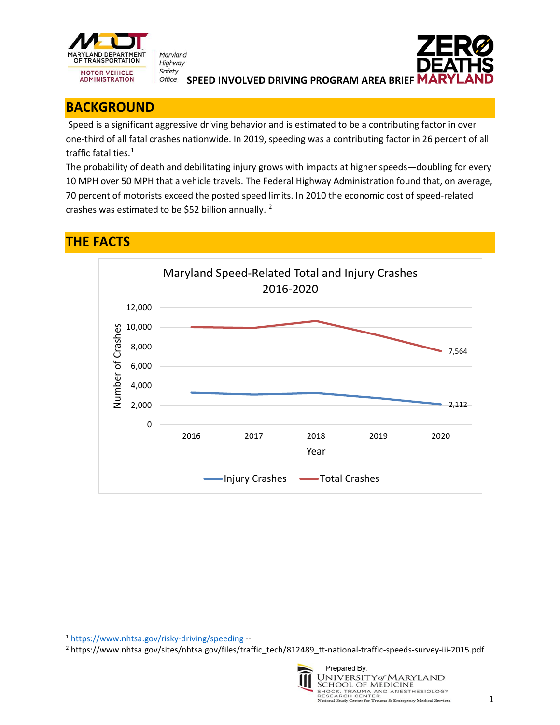

Maryland Highway Safety Office



**SPEED INVOLVED DRIVING PROGRAM AREA BRIEF** 

## **BACKGROUND**

Speed is a significant aggressive driving behavior and is estimated to be a contributing factor in over one-third of all fatal crashes nationwide. In 2019, speeding was a contributing factor in 26 percent of all traffic fatalities.<sup>[1](#page-0-0)</sup>

The probability of death and debilitating injury grows with impacts at higher speeds—doubling for every 10 MPH over 50 MPH that a vehicle travels. The Federal Highway Administration found that, on average, 70 percent of motorists exceed the posted speed limits. In 2010 the economic cost of speed-related crashes was estimated to be \$52 billion annually. [2](#page-0-1)

## **THE FACTS**



<span id="page-0-1"></span><sup>2</sup> https://www.nhtsa.gov/sites/nhtsa.gov/files/traffic\_tech/812489\_tt-national-traffic-speeds-survey-iii-2015.pdf



Prepared By: **UNIVERSITY of MARYLAND SCHOOL OF MEDICINE** JOURNAL OF TYPE THE SIDE OF STATES ON THE SIDE OF THE SIDE OF RESEARCH CENTER<br>RESEARCH CENTER<br>National Study Center for Trauma & Emergency Medical Services (San France Company Medical Services (San France

<span id="page-0-0"></span><sup>1</sup> <https://www.nhtsa.gov/risky-driving/speeding> --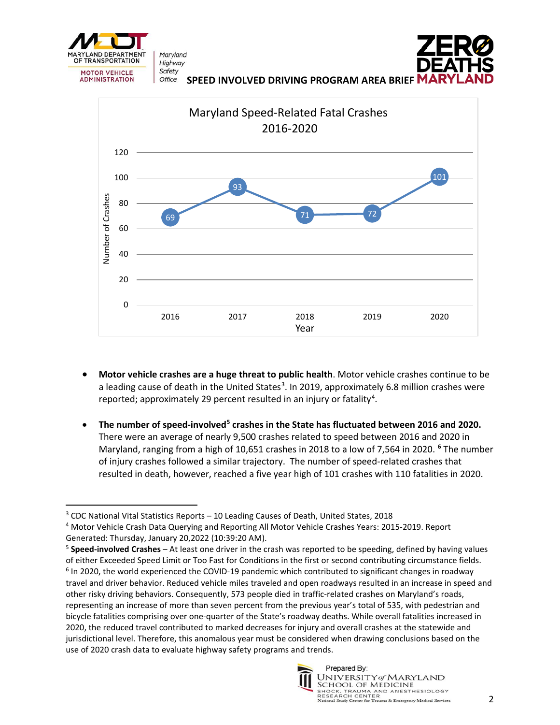

Maryland Highway Safety Office



**SPEED INVOLVED DRIVING PROGRAM AREA BRIEF** 



- **Motor vehicle crashes are a huge threat to public health**. Motor vehicle crashes continue to be a leading cause of death in the United States<sup>[3](#page-1-0)</sup>. In 2019, approximately 6.8 million crashes were reported; approximately 29 percent resulted in an injury or fatality<sup>[4](#page-1-1)</sup>.
- **The number of speed-involved[5](#page-1-2) crashes in the State has fluctuated between 2016 and 2020.** There were an average of nearly 9,500 crashes related to speed between 2016 and 2020 in Maryland, ranging from a high of 10,651 crashes in 2018 to a low of 7,564 in 2020. **[6](#page-1-3)** The number of injury crashes followed a similar trajectory. The number of speed-related crashes that resulted in death, however, reached a five year high of 101 crashes with 110 fatalities in 2020.

<span id="page-1-3"></span><span id="page-1-2"></span><sup>5</sup> **Speed-involved Crashes** – At least one driver in the crash was reported to be speeding, defined by having values of either Exceeded Speed Limit or Too Fast for Conditions in the first or second contributing circumstance fields. <sup>6</sup> In 2020, the world experienced the COVID-19 pandemic which contributed to significant changes in roadway travel and driver behavior. Reduced vehicle miles traveled and open roadways resulted in an increase in speed and other risky driving behaviors. Consequently, 573 people died in traffic-related crashes on Maryland's roads, representing an increase of more than seven percent from the previous year's total of 535, with pedestrian and bicycle fatalities comprising over one-quarter of the State's roadway deaths. While overall fatalities increased in 2020, the reduced travel contributed to marked decreases for injury and overall crashes at the statewide and jurisdictional level. Therefore, this anomalous year must be considered when drawing conclusions based on the use of 2020 crash data to evaluate highway safety programs and trends.



<span id="page-1-0"></span><sup>3</sup> CDC National Vital Statistics Reports – 10 Leading Causes of Death, United States, 2018

<span id="page-1-1"></span><sup>4</sup> Motor Vehicle Crash Data Querying and Reporting All Motor Vehicle Crashes Years: 2015-2019. Report Generated: Thursday, January 20,2022 (10:39:20 AM).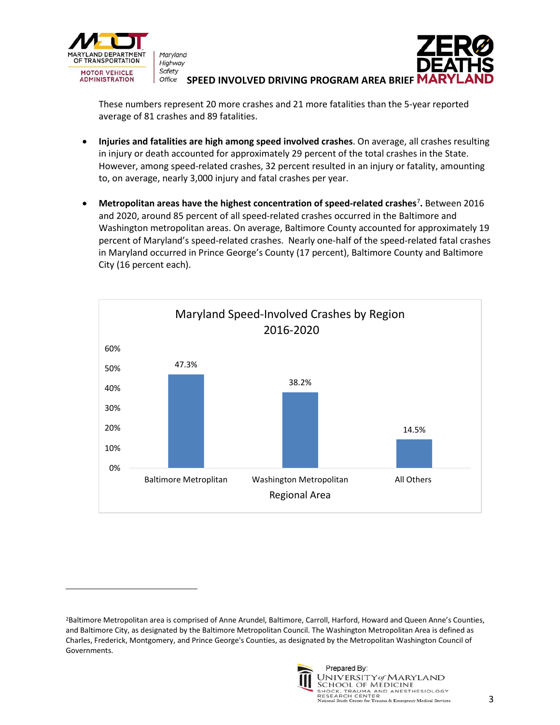



**SPEED INVOLVED DRIVING PROGRAM AREA BRIEF** 

These numbers represent 20 more crashes and 21 more fatalities than the 5-year reported average of 81 crashes and 89 fatalities.

- **Injuries and fatalities are high among speed involved crashes**. On average, all crashes resulting in injury or death accounted for approximately 29 percent of the total crashes in the State. However, among speed-related crashes, 32 percent resulted in an injury or fatality, amounting to, on average, nearly 3,000 injury and fatal crashes per year.
- **Metropolitan areas have the highest concentration of speed-related crashes**[7](#page-2-0) **.** Between 2016 and 2020, around 85 percent of all speed-related crashes occurred in the Baltimore and Washington metropolitan areas. On average, Baltimore County accounted for approximately 19 percent of Maryland's speed-related crashes. Nearly one-half of the speed-related fatal crashes in Maryland occurred in Prince George's County (17 percent), Baltimore County and Baltimore City (16 percent each).



<span id="page-2-0"></span><sup>2</sup>Baltimore Metropolitan area is comprised of Anne Arundel, Baltimore, Carroll, Harford, Howard and Queen Anne's Counties, and Baltimore City, as designated by the Baltimore Metropolitan Council. The Washington Metropolitan Area is defined as Charles, Frederick, Montgomery, and Prince George's Counties, as designated by the Metropolitan Washington Council of Governments.